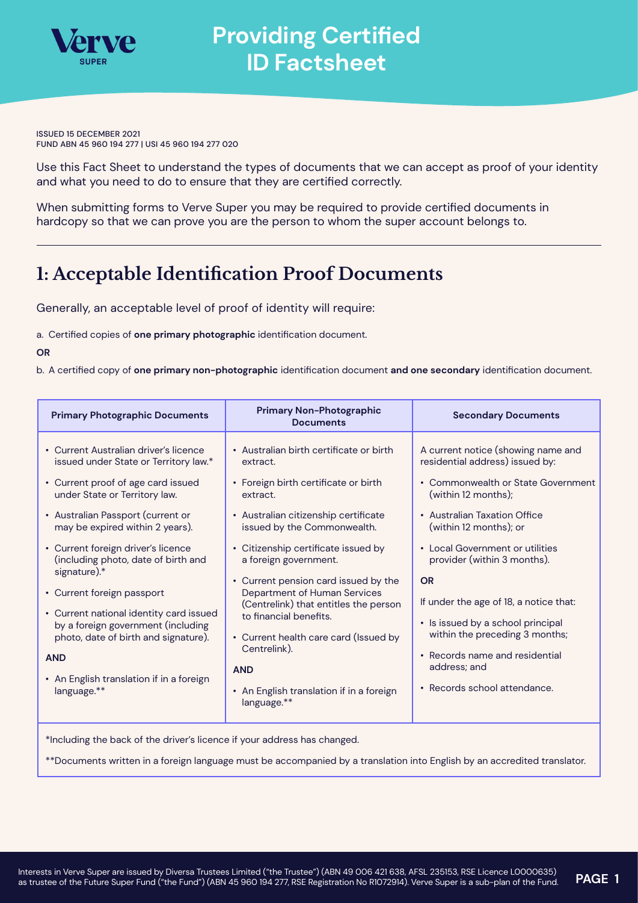

# **Providing Certified ID Factsheet**

ISSUED 15 DECEMBER 2021 FUND ABN 45 960 194 277 | USI 45 960 194 277 020

Use this Fact Sheet to understand the types of documents that we can accept as proof of your identity and what you need to do to ensure that they are certified correctly.

When submitting forms to Verve Super you may be required to provide certified documents in hardcopy so that we can prove you are the person to whom the super account belongs to.

## **1: Acceptable Identification Proof Documents**

Generally, an acceptable level of proof of identity will require:

a. Certified copies of **one primary photographic** identification document.

**OR**

b. A certified copy of **one primary non-photographic** identification document **and one secondary** identification document.

| <b>Primary Photographic Documents</b>                                                                                                                                                                                                                                                                                                                                                                                                                                                                                                                      | <b>Primary Non-Photographic</b><br><b>Documents</b>                                                                                                                                                                                                                                                                                                                                                                                                                                                                         | <b>Secondary Documents</b>                                                                                                                                                                                                                                                                                                                                                                                                                                                     |  |  |  |  |
|------------------------------------------------------------------------------------------------------------------------------------------------------------------------------------------------------------------------------------------------------------------------------------------------------------------------------------------------------------------------------------------------------------------------------------------------------------------------------------------------------------------------------------------------------------|-----------------------------------------------------------------------------------------------------------------------------------------------------------------------------------------------------------------------------------------------------------------------------------------------------------------------------------------------------------------------------------------------------------------------------------------------------------------------------------------------------------------------------|--------------------------------------------------------------------------------------------------------------------------------------------------------------------------------------------------------------------------------------------------------------------------------------------------------------------------------------------------------------------------------------------------------------------------------------------------------------------------------|--|--|--|--|
| • Current Australian driver's licence<br>issued under State or Territory law.*<br>• Current proof of age card issued<br>under State or Territory law.<br>• Australian Passport (current or<br>may be expired within 2 years).<br>• Current foreign driver's licence<br>(including photo, date of birth and<br>signature).*<br>• Current foreign passport<br>• Current national identity card issued<br>by a foreign government (including<br>photo, date of birth and signature).<br><b>AND</b><br>• An English translation if in a foreign<br>language.** | • Australian birth certificate or birth<br>extract.<br>• Foreign birth certificate or birth<br>extract.<br>• Australian citizenship certificate<br>issued by the Commonwealth.<br>• Citizenship certificate issued by<br>a foreign government.<br>• Current pension card issued by the<br>Department of Human Services<br>(Centrelink) that entitles the person<br>to financial benefits.<br>• Current health care card (Issued by<br>Centrelink).<br><b>AND</b><br>• An English translation if in a foreign<br>language.** | A current notice (showing name and<br>residential address) issued by:<br>• Commonwealth or State Government<br>(within 12 months);<br>• Australian Taxation Office<br>(within 12 months); or<br>• Local Government or utilities<br>provider (within 3 months).<br><b>OR</b><br>If under the age of 18, a notice that:<br>• Is issued by a school principal<br>within the preceding 3 months;<br>• Records name and residential<br>address; and<br>• Records school attendance. |  |  |  |  |
| *Including the back of the driver's licence if your address has changed.                                                                                                                                                                                                                                                                                                                                                                                                                                                                                   |                                                                                                                                                                                                                                                                                                                                                                                                                                                                                                                             |                                                                                                                                                                                                                                                                                                                                                                                                                                                                                |  |  |  |  |

\*\*Documents written in a foreign language must be accompanied by a translation into English by an accredited translator.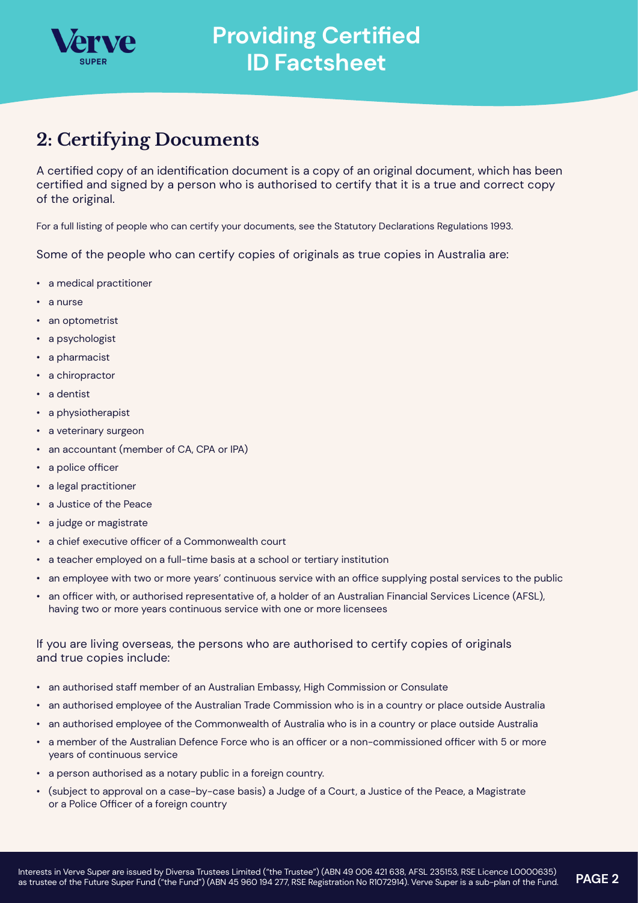

## **2: Certifying Documents**

A certified copy of an identification document is a copy of an original document, which has been certified and signed by a person who is authorised to certify that it is a true and correct copy of the original.

For a full listing of people who can certify your documents, see the Statutory Declarations Regulations 1993.

Some of the people who can certify copies of originals as true copies in Australia are:

- a medical practitioner
- a nurse
- an optometrist
- a psychologist
- a pharmacist
- a chiropractor
- a dentist
- a physiotherapist
- a veterinary surgeon
- an accountant (member of CA, CPA or IPA)
- a police officer
- a legal practitioner
- a Justice of the Peace
- a judge or magistrate
- a chief executive officer of a Commonwealth court
- a teacher employed on a full-time basis at a school or tertiary institution
- an employee with two or more years' continuous service with an office supplying postal services to the public
- an officer with, or authorised representative of, a holder of an Australian Financial Services Licence (AFSL), having two or more years continuous service with one or more licensees

### If you are living overseas, the persons who are authorised to certify copies of originals and true copies include:

- an authorised staff member of an Australian Embassy, High Commission or Consulate
- an authorised employee of the Australian Trade Commission who is in a country or place outside Australia
- an authorised employee of the Commonwealth of Australia who is in a country or place outside Australia
- a member of the Australian Defence Force who is an officer or a non-commissioned officer with 5 or more years of continuous service
- a person authorised as a notary public in a foreign country.
- (subject to approval on a case-by-case basis) a Judge of a Court, a Justice of the Peace, a Magistrate or a Police Officer of a foreign country